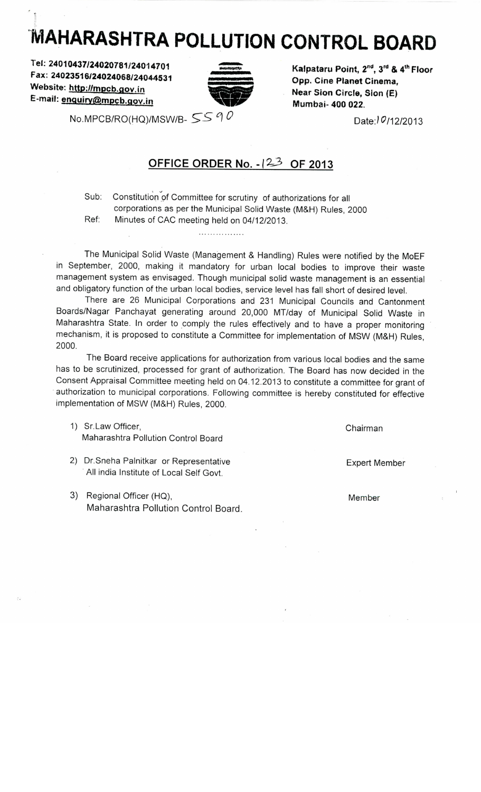## **MAHARASHTRA POLLUTION CONTROL BOARD**

**Tel: 24010437/24020781/24014701 Fax: 24023516/24024068/24044531** Website: http://mpcb.gov.in **E-mail: enquirv@mpcb.qoy,.in**



**Kalpataru Point, 2nd, 3rd & 4th Floor Opp. Cine Planet Cinema, Near Sion Circle, Sion (E) Mumbai- 400 022.**

**Date:/9/12/2013**

No.MPCB/RO(HQ)/MSW/B-  $5590$ 

## **OFFICE ORDER No. -123 OF 2013**

Sub: Constitution of Committee for scrutiny of authorizations for all corporations as per the Municipal Solid Waste (M&H) Rules, 2000 Ref: Minutes of CAC meeting held on 04/12/2013.

. . . . . . . . . . . . . . . . .

The Municipal Solid Waste (Management & Handling) Rules were notified by the MoEF in September, 2000, making it mandatory for urban local bodies to improve their waste management system as envisaged. Though municipal solid waste management is an essential and obligatory function of the urban local bodies, service level has fall short of desired level.

There are 26 Municipal Corporations and 231 Municipal Councils and Cantonment Boards/Nagar Panchayat generating around 20,000 MT/day of Municipal Solid Waste in Maharashtra State. In order to comply the rules effectively and to have a proper monitoring mechanism, it is proposed to constitute a Committee for implementation of MSW (M&H) Rules, 2000.

The Board receive applications for authorization from various local bodies and the same has to be scrutinized, processed for grant of authorization. The Board has now decided in the Consent Appraisal Committee meeting held on 04.12.2013 to constitute a committee for grant of authorization to municipal corporations. Following committee is hereby constituted for effective implementation of MSW (M&H) Rules, 2000.

- 1) Sr.Law Officer, Maharashtra Pollution Control Board
- 2) Dr.Sneha Palnitkar or Representative All india Institute of Local Self Govt.
- 3) Regional Officer (HQ), Maharashtra Pollution Control Board.

Chairman

Expert Member

Member